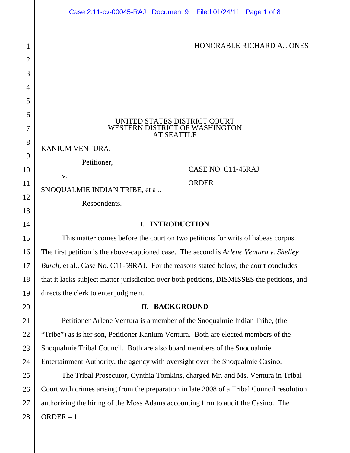|                     | Case 2:11-cv-00045-RAJ Document 9 Filed 01/24/11 Page 1 of 8                                |                            |
|---------------------|---------------------------------------------------------------------------------------------|----------------------------|
| 1<br>$\overline{2}$ |                                                                                             | HONORABLE RICHARD A. JONES |
| 3                   |                                                                                             |                            |
| 4                   |                                                                                             |                            |
| 5                   |                                                                                             |                            |
| 6<br>7              | UNITED STATES DISTRICT COURT<br>WESTERN DISTRICT OF WASHINGTON                              |                            |
| 8                   | <b>AT SEATTLE</b><br>KANIUM VENTURA,                                                        |                            |
| 9<br>10             | Petitioner,                                                                                 | CASE NO. C11-45RAJ         |
| 11<br>12            | V.<br>SNOQUALMIE INDIAN TRIBE, et al.,                                                      | <b>ORDER</b>               |
| 13                  | Respondents.                                                                                |                            |
| 14                  | <b>INTRODUCTION</b><br>I.                                                                   |                            |
| 15                  | This matter comes before the court on two petitions for writs of habeas corpus.             |                            |
| 16                  | The first petition is the above-captioned case. The second is Arlene Ventura v. Shelley     |                            |
| 17                  | Burch, et al., Case No. C11-59RAJ. For the reasons stated below, the court concludes        |                            |
| 18                  | that it lacks subject matter jurisdiction over both petitions, DISMISSES the petitions, and |                            |
| 19                  | directs the clerk to enter judgment.                                                        |                            |

## **II. BACKGROUND**

20

21

22

23

24

25

26

27

28

Petitioner Arlene Ventura is a member of the Snoqualmie Indian Tribe, (the "Tribe") as is her son, Petitioner Kanium Ventura. Both are elected members of the Snoqualmie Tribal Council. Both are also board members of the Snoqualmie Entertainment Authority, the agency with oversight over the Snoqualmie Casino.

ORDER – 1 The Tribal Prosecutor, Cynthia Tomkins, charged Mr. and Ms. Ventura in Tribal Court with crimes arising from the preparation in late 2008 of a Tribal Council resolution authorizing the hiring of the Moss Adams accounting firm to audit the Casino. The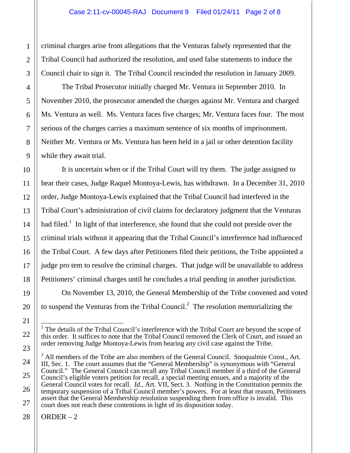criminal charges arise from allegations that the Venturas falsely represented that the Tribal Council had authorized the resolution, and used false statements to induce the Council chair to sign it. The Tribal Council rescinded the resolution in January 2009.

The Tribal Prosecutor initially charged Mr. Ventura in September 2010. In November 2010, the prosecutor amended the charges against Mr. Ventura and charged Ms. Ventura as well. Ms. Ventura faces five charges; Mr. Ventura faces four. The most serious of the charges carries a maximum sentence of six months of imprisonment. Neither Mr. Ventura or Ms. Ventura has been held in a jail or other detention facility while they await trial.

It is uncertain when or if the Tribal Court will try them. The judge assigned to hear their cases, Judge Raquel Montoya-Lewis, has withdrawn. In a December 31, 2010 order, Judge Montoya-Lewis explained that the Tribal Council had interfered in the Tribal Court's administration of civil claims for declaratory judgment that the Venturas had filed.<sup>1</sup> In light of that interference, she found that she could not preside over the criminal trials without it appearing that the Tribal Council's interference had influenced the Tribal Court. A few days after Petitioners filed their petitions, the Tribe appointed a judge pro tem to resolve the criminal charges. That judge will be unavailable to address Petitioners' criminal charges until he concludes a trial pending in another jurisdiction.

On November 13, 2010, the General Membership of the Tribe convened and voted to suspend the Venturas from the Tribal Council.<sup>2</sup> The resolution memorializing the

 $ORDER - 2$ 

<sup>&</sup>lt;sup>1</sup> The details of the Tribal Council's interference with the Tribal Court are beyond the scope of this order. It suffices to note that the Tribal Council removed the Clerk of Court, and issued an order removing Judge Montoya-Lewis from hearing any civil case against the Tribe.

 $2^2$  All members of the Tribe are also members of the General Council. Snoqualmie Const., Art. III, Sec. 1. The court assumes that the "General Membership" is synonymous with "General Council." The General Council can recall any Tribal Council member if a third of the General Council's eligible voters petition for recall, a special meeting ensues, and a majority of the General Council votes for recall. *Id.*, Art. VII, Sect. 3. Nothing in the Constitution permits the temporary suspension of a Tribal Council member's powers. For at least that reason, Petitioners assert that the General Membership resolution suspending them from office is invalid. This court does not reach these contentions in light of its disposition today.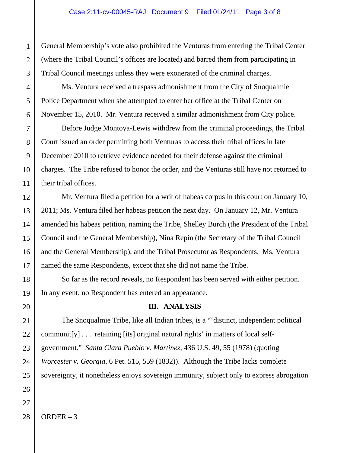General Membership's vote also prohibited the Venturas from entering the Tribal Center (where the Tribal Council's offices are located) and barred them from participating in Tribal Council meetings unless they were exonerated of the criminal charges.

Ms. Ventura received a trespass admonishment from the City of Snoqualmie Police Department when she attempted to enter her office at the Tribal Center on November 15, 2010. Mr. Ventura received a similar admonishment from City police.

Before Judge Montoya-Lewis withdrew from the criminal proceedings, the Tribal Court issued an order permitting both Venturas to access their tribal offices in late December 2010 to retrieve evidence needed for their defense against the criminal charges. The Tribe refused to honor the order, and the Venturas still have not returned to their tribal offices.

Mr. Ventura filed a petition for a writ of habeas corpus in this court on January 10, 2011; Ms. Ventura filed her habeas petition the next day. On January 12, Mr. Ventura amended his habeas petition, naming the Tribe, Shelley Burch (the President of the Tribal Council and the General Membership), Nina Repin (the Secretary of the Tribal Council and the General Membership), and the Tribal Prosecutor as Respondents. Ms. Ventura named the same Respondents, except that she did not name the Tribe.

So far as the record reveals, no Respondent has been served with either petition. In any event, no Respondent has entered an appearance.

## **III. ANALYSIS**

The Snoqualmie Tribe, like all Indian tribes, is a "'distinct, independent political communit[y] . . . retaining [its] original natural rights' in matters of local selfgovernment." *Santa Clara Pueblo v. Martinez*, 436 U.S. 49, 55 (1978) (quoting *Worcester v. Georgia*, 6 Pet. 515, 559 (1832)). Although the Tribe lacks complete sovereignty, it nonetheless enjoys sovereign immunity, subject only to express abrogation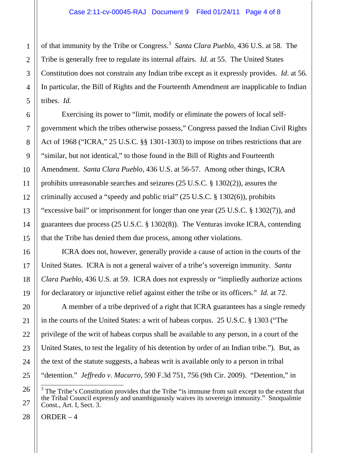of that immunity by the Tribe or Congress.<sup>3</sup> Santa Clara Pueblo, 436 U.S. at 58. The Tribe is generally free to regulate its internal affairs. *Id.* at 55. The United States Constitution does not constrain any Indian tribe except as it expressly provides. *Id*. at 56. In particular, the Bill of Rights and the Fourteenth Amendment are inapplicable to Indian tribes. *Id.*

Exercising its power to "limit, modify or eliminate the powers of local selfgovernment which the tribes otherwise possess," Congress passed the Indian Civil Rights Act of 1968 ("ICRA," 25 U.S.C. §§ 1301-1303) to impose on tribes restrictions that are "similar, but not identical," to those found in the Bill of Rights and Fourteenth Amendment. *Santa Clara Pueblo*, 436 U.S. at 56-57. Among other things, ICRA prohibits unreasonable searches and seizures (25 U.S.C. § 1302(2)), assures the criminally accused a "speedy and public trial" (25 U.S.C. § 1302(6)), prohibits "excessive bail" or imprisonment for longer than one year (25 U.S.C. § 1302(7)), and guarantees due process (25 U.S.C. § 1302(8)). The Venturas invoke ICRA, contending that the Tribe has denied them due process, among other violations.

ICRA does not, however, generally provide a cause of action in the courts of the United States. ICRA is not a general waiver of a tribe's sovereign immunity. *Santa Clara Pueblo*, 436 U.S. at 59. ICRA does not expressly or "impliedly authorize actions for declaratory or injunctive relief against either the tribe or its officers." *Id.* at 72.

A member of a tribe deprived of a right that ICRA guarantees has a single remedy in the courts of the United States: a writ of habeas corpus. 25 U.S.C. § 1303 ("The privilege of the writ of habeas corpus shall be available to any person, in a court of the United States, to test the legality of his detention by order of an Indian tribe."). But, as the text of the statute suggests, a habeas writ is available only to a person in tribal "detention." *Jeffredo v. Macarro*, 590 F.3d 751, 756 (9th Cir. 2009). "Detention," in

<sup>&</sup>lt;sup>3</sup> The Tribe's Constitution provides that the Tribe "is immune from suit except to the extent that the Tribal Council expressly and unambiguously waives its sovereign immunity." Snoqualmie Const., Art. I, Sect. 3.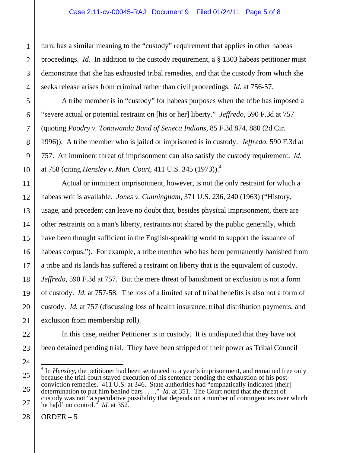turn, has a similar meaning to the "custody" requirement that applies in other habeas proceedings. *Id.* In addition to the custody requirement, a § 1303 habeas petitioner must demonstrate that she has exhausted tribal remedies, and that the custody from which she seeks release arises from criminal rather than civil proceedings. *Id.* at 756-57.

A tribe member is in "custody" for habeas purposes when the tribe has imposed a "severe actual or potential restraint on [his or her] liberty." *Jeffredo*, 590 F.3d at 757 (quoting *Poodry v. Tonawanda Band of Seneca Indians*, 85 F.3d 874, 880 (2d Cir. 1996)). A tribe member who is jailed or imprisoned is in custody. *Jeffredo*, 590 F.3d at 757. An imminent threat of imprisonment can also satisfy the custody requirement. *Id*. at 758 (citing *Hensley v. Mun. Court*, 411 U.S. 345 (1973)).4

Actual or imminent imprisonment, however, is not the only restraint for which a habeas writ is available. *Jones v. Cunningham*, 371 U.S. 236, 240 (1963) ("History, usage, and precedent can leave no doubt that, besides physical imprisonment, there are other restraints on a man's liberty, restraints not shared by the public generally, which have been thought sufficient in the English-speaking world to support the issuance of habeas corpus."). For example, a tribe member who has been permanently banished from a tribe and its lands has suffered a restraint on liberty that is the equivalent of custody. *Jeffredo*, 590 F.3d at 757*.* But the mere threat of banishment or exclusion is not a form of custody. *Id.* at 757-58. The loss of a limited set of tribal benefits is also not a form of custody. *Id.* at 757 (discussing loss of health insurance, tribal distribution payments, and exclusion from membership roll).

In this case, neither Petitioner is in custody. It is undisputed that they have not been detained pending trial. They have been stripped of their power as Tribal Council

ORDER  $-5$ 

 $\overline{\phantom{a}}$ <sup>4</sup> In *Hensley*, the petitioner had been sentenced to a year's imprisonment, and remained free only because the trial court stayed execution of his sentence pending the exhaustion of his postconviction remedies. 411 U.S. at 346. State authorities had "emphatically indicated [their] determination to put him behind bars . . . ." *Id.* at 351. The Court noted that the threat of custody was not "a speculative possibility that depends on a number of contingencies over which he ha[d] no control." *Id.* at 352.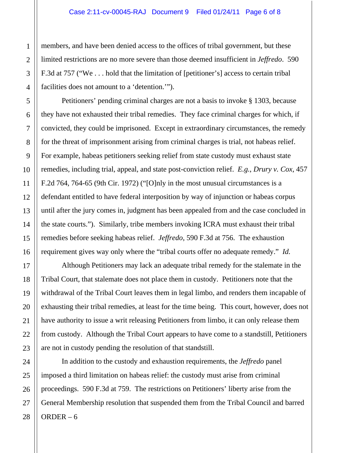members, and have been denied access to the offices of tribal government, but these limited restrictions are no more severe than those deemed insufficient in *Jeffredo*. 590 F.3d at 757 ("We . . . hold that the limitation of [petitioner's] access to certain tribal facilities does not amount to a 'detention.'").

Petitioners' pending criminal charges are not a basis to invoke § 1303, because they have not exhausted their tribal remedies. They face criminal charges for which, if convicted, they could be imprisoned. Except in extraordinary circumstances, the remedy for the threat of imprisonment arising from criminal charges is trial, not habeas relief. For example, habeas petitioners seeking relief from state custody must exhaust state remedies, including trial, appeal, and state post-conviction relief. *E.g.*, *Drury v. Cox*, 457 F.2d 764, 764-65 (9th Cir. 1972) ("[O]nly in the most unusual circumstances is a defendant entitled to have federal interposition by way of injunction or habeas corpus until after the jury comes in, judgment has been appealed from and the case concluded in the state courts."). Similarly, tribe members invoking ICRA must exhaust their tribal remedies before seeking habeas relief. *Jeffredo*, 590 F.3d at 756. The exhaustion requirement gives way only where the "tribal courts offer no adequate remedy." *Id.*

Although Petitioners may lack an adequate tribal remedy for the stalemate in the Tribal Court, that stalemate does not place them in custody. Petitioners note that the withdrawal of the Tribal Court leaves them in legal limbo, and renders them incapable of exhausting their tribal remedies, at least for the time being. This court, however, does not have authority to issue a writ releasing Petitioners from limbo, it can only release them from custody. Although the Tribal Court appears to have come to a standstill, Petitioners are not in custody pending the resolution of that standstill.

ORDER – 6 In addition to the custody and exhaustion requirements, the *Jeffredo* panel imposed a third limitation on habeas relief: the custody must arise from criminal proceedings. 590 F.3d at 759. The restrictions on Petitioners' liberty arise from the General Membership resolution that suspended them from the Tribal Council and barred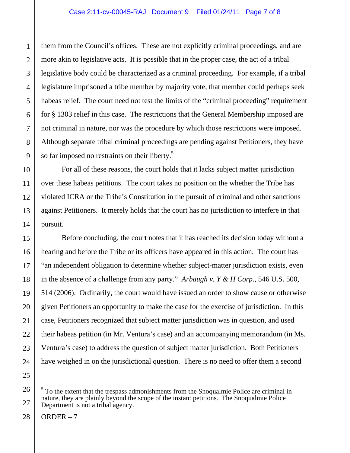them from the Council's offices. These are not explicitly criminal proceedings, and are more akin to legislative acts. It is possible that in the proper case, the act of a tribal legislative body could be characterized as a criminal proceeding. For example, if a tribal legislature imprisoned a tribe member by majority vote, that member could perhaps seek habeas relief. The court need not test the limits of the "criminal proceeding" requirement for § 1303 relief in this case. The restrictions that the General Membership imposed are not criminal in nature, nor was the procedure by which those restrictions were imposed. Although separate tribal criminal proceedings are pending against Petitioners, they have so far imposed no restraints on their liberty.<sup>5</sup>

For all of these reasons, the court holds that it lacks subject matter jurisdiction over these habeas petitions. The court takes no position on the whether the Tribe has violated ICRA or the Tribe's Constitution in the pursuit of criminal and other sanctions against Petitioners. It merely holds that the court has no jurisdiction to interfere in that pursuit.

Before concluding, the court notes that it has reached its decision today without a hearing and before the Tribe or its officers have appeared in this action. The court has "an independent obligation to determine whether subject-matter jurisdiction exists, even in the absence of a challenge from any party." *Arbaugh v. Y & H Corp.*, 546 U.S. 500, 514 (2006). Ordinarily, the court would have issued an order to show cause or otherwise given Petitioners an opportunity to make the case for the exercise of jurisdiction. In this case, Petitioners recognized that subject matter jurisdiction was in question, and used their habeas petition (in Mr. Ventura's case) and an accompanying memorandum (in Ms. Ventura's case) to address the question of subject matter jurisdiction. Both Petitioners have weighed in on the jurisdictional question. There is no need to offer them a second

<sup>&</sup>lt;sup>5</sup> To the extent that the trespass admonishments from the Snoqualmie Police are criminal in nature, they are plainly beyond the scope of the instant petitions. The Snoqualmie Police Department is not a tribal agency.